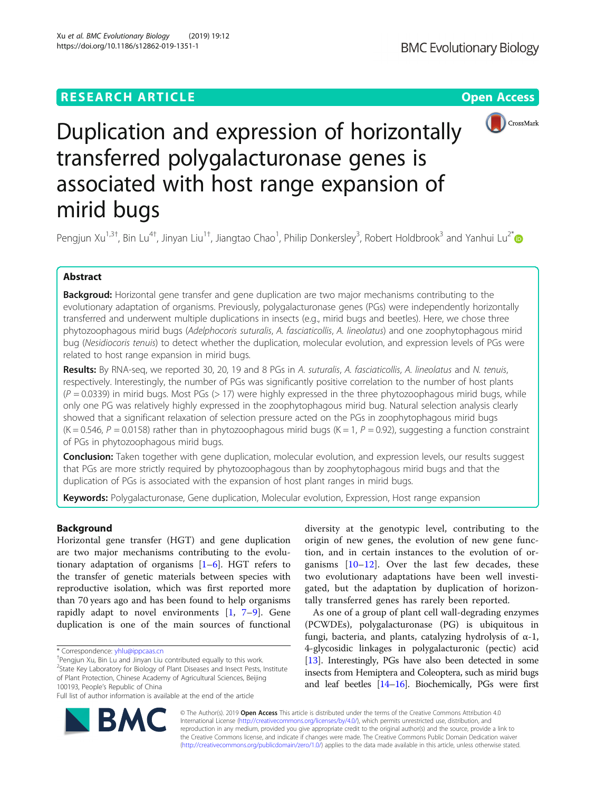# **RESEARCH ARTICLE Example 2014 12:30 The Contract of Contract ACCESS**



# Duplication and expression of horizontally transferred polygalacturonase genes is associated with host range expansion of mirid bugs

Pengjun Xu<sup>1,3†</sup>, Bin Lu<sup>4†</sup>, Jinyan Liu<sup>1†</sup>, Jiangtao Chao<sup>1</sup>, Philip Donkersley<sup>3</sup>, Robert Holdbrook<sup>3</sup> and Yanhui Lu<sup>2[\\*](http://orcid.org/0000-0002-6552-0248)</sup>

# Abstract

Backgroud: Horizontal gene transfer and gene duplication are two major mechanisms contributing to the evolutionary adaptation of organisms. Previously, polygalacturonase genes (PGs) were independently horizontally transferred and underwent multiple duplications in insects (e.g., mirid bugs and beetles). Here, we chose three phytozoophagous mirid bugs (Adelphocoris suturalis, A. fasciaticollis, A. lineolatus) and one zoophytophagous mirid bug (Nesidiocoris tenuis) to detect whether the duplication, molecular evolution, and expression levels of PGs were related to host range expansion in mirid bugs.

Results: By RNA-seq, we reported 30, 20, 19 and 8 PGs in A. suturalis, A. fasciaticollis, A. lineolatus and N. tenuis, respectively. Interestingly, the number of PGs was significantly positive correlation to the number of host plants  $(P = 0.0339)$  in mirid bugs. Most PGs (> 17) were highly expressed in the three phytozoophagous mirid bugs, while only one PG was relatively highly expressed in the zoophytophagous mirid bug. Natural selection analysis clearly showed that a significant relaxation of selection pressure acted on the PGs in zoophytophagous mirid bugs  $(K = 0.546, P = 0.0158)$  rather than in phytozoophagous mirid bugs  $(K = 1, P = 0.92)$ , suggesting a function constraint of PGs in phytozoophagous mirid bugs.

Conclusion: Taken together with gene duplication, molecular evolution, and expression levels, our results suggest that PGs are more strictly required by phytozoophagous than by zoophytophagous mirid bugs and that the duplication of PGs is associated with the expansion of host plant ranges in mirid bugs.

Keywords: Polygalacturonase, Gene duplication, Molecular evolution, Expression, Host range expansion

# Background

Horizontal gene transfer (HGT) and gene duplication are two major mechanisms contributing to the evolutionary adaptation of organisms  $[1-6]$  $[1-6]$  $[1-6]$  $[1-6]$  $[1-6]$ . HGT refers to the transfer of genetic materials between species with reproductive isolation, which was first reported more than 70 years ago and has been found to help organisms rapidly adapt to novel environments  $[1, 7-9]$  $[1, 7-9]$  $[1, 7-9]$  $[1, 7-9]$  $[1, 7-9]$  $[1, 7-9]$ . Gene duplication is one of the main sources of functional

<sup>+</sup>Pengjun Xu, Bin Lu and Jinyan Liu contributed equally to this work.

diversity at the genotypic level, contributing to the origin of new genes, the evolution of new gene function, and in certain instances to the evolution of organisms  $[10-12]$  $[10-12]$  $[10-12]$  $[10-12]$ . Over the last few decades, these two evolutionary adaptations have been well investigated, but the adaptation by duplication of horizontally transferred genes has rarely been reported.

As one of a group of plant cell wall-degrading enzymes (PCWDEs), polygalacturonase (PG) is ubiquitous in fungi, bacteria, and plants, catalyzing hydrolysis of α-1, 4-glycosidic linkages in polygalacturonic (pectic) acid [[13\]](#page-7-0). Interestingly, PGs have also been detected in some insects from Hemiptera and Coleoptera, such as mirid bugs and leaf beetles [[14](#page-7-0)–[16](#page-7-0)]. Biochemically, PGs were first



© The Author(s). 2019 Open Access This article is distributed under the terms of the Creative Commons Attribution 4.0 International License [\(http://creativecommons.org/licenses/by/4.0/](http://creativecommons.org/licenses/by/4.0/)), which permits unrestricted use, distribution, and reproduction in any medium, provided you give appropriate credit to the original author(s) and the source, provide a link to the Creative Commons license, and indicate if changes were made. The Creative Commons Public Domain Dedication waiver [\(http://creativecommons.org/publicdomain/zero/1.0/](http://creativecommons.org/publicdomain/zero/1.0/)) applies to the data made available in this article, unless otherwise stated.

<sup>\*</sup> Correspondence: [yhlu@ippcaas.cn](mailto:yhlu@ippcaas.cn) †

<sup>&</sup>lt;sup>2</sup>State Key Laboratory for Biology of Plant Diseases and Insect Pests, Institute of Plant Protection, Chinese Academy of Agricultural Sciences, Beijing 100193, People's Republic of China

Full list of author information is available at the end of the article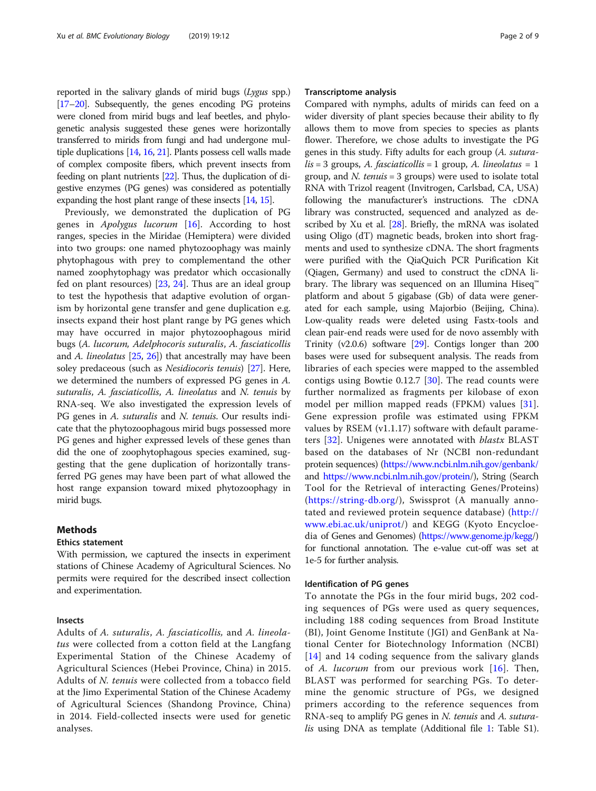reported in the salivary glands of mirid bugs (Lygus spp.) [[17](#page-7-0)–[20](#page-8-0)]. Subsequently, the genes encoding PG proteins were cloned from mirid bugs and leaf beetles, and phylogenetic analysis suggested these genes were horizontally transferred to mirids from fungi and had undergone multiple duplications [\[14,](#page-7-0) [16,](#page-7-0) [21\]](#page-8-0). Plants possess cell walls made of complex composite fibers, which prevent insects from feeding on plant nutrients [[22](#page-8-0)]. Thus, the duplication of digestive enzymes (PG genes) was considered as potentially expanding the host plant range of these insects [[14](#page-7-0), [15](#page-7-0)].

Previously, we demonstrated the duplication of PG genes in Apolygus lucorum [\[16](#page-7-0)]. According to host ranges, species in the Miridae (Hemiptera) were divided into two groups: one named phytozoophagy was mainly phytophagous with prey to complementand the other named zoophytophagy was predator which occasionally fed on plant resources) [\[23,](#page-8-0) [24](#page-8-0)]. Thus are an ideal group to test the hypothesis that adaptive evolution of organism by horizontal gene transfer and gene duplication e.g. insects expand their host plant range by PG genes which may have occurred in major phytozoophagous mirid bugs (A. lucorum, Adelphocoris suturalis, A. fasciaticollis and A. lineolatus  $[25, 26]$  $[25, 26]$  $[25, 26]$  $[25, 26]$  $[25, 26]$ ) that ancestrally may have been soley predaceous (such as Nesidiocoris tenuis) [\[27\]](#page-8-0). Here, we determined the numbers of expressed PG genes in A. suturalis, A. fasciaticollis, A. lineolatus and N. tenuis by RNA-seq. We also investigated the expression levels of PG genes in A. *suturalis* and N. *tenuis*. Our results indicate that the phytozoophagous mirid bugs possessed more PG genes and higher expressed levels of these genes than did the one of zoophytophagous species examined, suggesting that the gene duplication of horizontally transferred PG genes may have been part of what allowed the host range expansion toward mixed phytozoophagy in mirid bugs.

## Methods

### Ethics statement

With permission, we captured the insects in experiment stations of Chinese Academy of Agricultural Sciences. No permits were required for the described insect collection and experimentation.

## Insects

Adults of A. suturalis, A. fasciaticollis, and A. lineolatus were collected from a cotton field at the Langfang Experimental Station of the Chinese Academy of Agricultural Sciences (Hebei Province, China) in 2015. Adults of N. tenuis were collected from a tobacco field at the Jimo Experimental Station of the Chinese Academy of Agricultural Sciences (Shandong Province, China) in 2014. Field-collected insects were used for genetic analyses.

## Transcriptome analysis

Compared with nymphs, adults of mirids can feed on a wider diversity of plant species because their ability to fly allows them to move from species to species as plants flower. Therefore, we chose adults to investigate the PG genes in this study. Fifty adults for each group (A. sutura $lis = 3$  groups, A. fasciaticollis = 1 group, A. lineolatus = 1 group, and *N. tenuis* = 3 groups) were used to isolate total RNA with Trizol reagent (Invitrogen, Carlsbad, CA, USA) following the manufacturer's instructions. The cDNA library was constructed, sequenced and analyzed as described by Xu et al. [[28](#page-8-0)]. Briefly, the mRNA was isolated using Oligo (dT) magnetic beads, broken into short fragments and used to synthesize cDNA. The short fragments were purified with the QiaQuich PCR Purification Kit (Qiagen, Germany) and used to construct the cDNA library. The library was sequenced on an Illumina Hiseq™ platform and about 5 gigabase (Gb) of data were generated for each sample, using Majorbio (Beijing, China). Low-quality reads were deleted using Fastx-tools and clean pair-end reads were used for de novo assembly with Trinity (v2.0.6) software [\[29\]](#page-8-0). Contigs longer than 200 bases were used for subsequent analysis. The reads from libraries of each species were mapped to the assembled contigs using Bowtie 0.12.7 [[30](#page-8-0)]. The read counts were further normalized as fragments per kilobase of exon model per million mapped reads (FPKM) values [[31](#page-8-0)]. Gene expression profile was estimated using FPKM values by RSEM (v1.1.17) software with default parame-ters [[32](#page-8-0)]. Unigenes were annotated with *blastx* BLAST based on the databases of Nr (NCBI non-redundant protein sequences) [\(https://www.ncbi.nlm.nih.gov/genbank/](https://www.ncbi.nlm.nih.gov/genbank/) and [https://www.ncbi.nlm.nih.gov/protein/](https://www.ncbi.nlm.nih.gov/protein)), String (Search Tool for the Retrieval of interacting Genes/Proteins) ([https://string-db.org/](https://string-db.org)), Swissprot (A manually annotated and reviewed protein sequence database) [\(http://](http://www.ebi.ac.uk/uniprot) [www.ebi.ac.uk/uniprot/](http://www.ebi.ac.uk/uniprot)) and KEGG (Kyoto Encycloedia of Genes and Genomes) (<https://www.genome.jp/kegg>/) for functional annotation. The e-value cut-off was set at 1e-5 for further analysis.

### Identification of PG genes

To annotate the PGs in the four mirid bugs, 202 coding sequences of PGs were used as query sequences, including 188 coding sequences from Broad Institute (BI), Joint Genome Institute (JGI) and GenBank at National Center for Biotechnology Information (NCBI) [[14](#page-7-0)] and 14 coding sequence from the salivary glands of A. lucorum from our previous work [[16\]](#page-7-0). Then, BLAST was performed for searching PGs. To determine the genomic structure of PGs, we designed primers according to the reference sequences from RNA-seq to amplify PG genes in N. tenuis and A. sutura-lis using DNA as template (Additional file [1](#page-7-0): Table S1).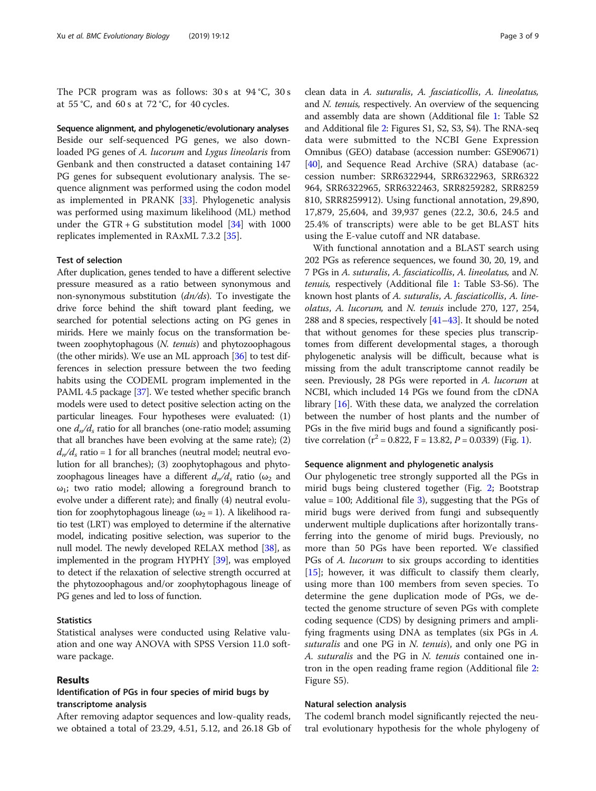The PCR program was as follows: 30 s at 94 °C, 30 s at 55 °C, and 60 s at 72 °C, for 40 cycles.

Sequence alignment, and phylogenetic/evolutionary analyses Beside our self-sequenced PG genes, we also downloaded PG genes of A. lucorum and Lygus lineolaris from Genbank and then constructed a dataset containing 147 PG genes for subsequent evolutionary analysis. The sequence alignment was performed using the codon model as implemented in PRANK [\[33](#page-8-0)]. Phylogenetic analysis was performed using maximum likelihood (ML) method under the GTR + G substitution model  $[34]$  $[34]$  with 1000 replicates implemented in RAxML 7.3.2 [[35](#page-8-0)].

## Test of selection

After duplication, genes tended to have a different selective pressure measured as a ratio between synonymous and non-synonymous substitution (dn/ds). To investigate the drive force behind the shift toward plant feeding, we searched for potential selections acting on PG genes in mirids. Here we mainly focus on the transformation between zoophytophagous (N. tenuis) and phytozoophagous (the other mirids). We use an ML approach  $[36]$  $[36]$  $[36]$  to test differences in selection pressure between the two feeding habits using the CODEML program implemented in the PAML 4.5 package [[37](#page-8-0)]. We tested whether specific branch models were used to detect positive selection acting on the particular lineages. Four hypotheses were evaluated: (1) one  $d_n/d_s$  ratio for all branches (one-ratio model; assuming that all branches have been evolving at the same rate); (2)  $d_n/d_s$  ratio = 1 for all branches (neutral model; neutral evolution for all branches); (3) zoophytophagous and phytozoophagous lineages have a different  $d_n/d_s$  ratio ( $\omega_2$  and  $\omega_1$ ; two ratio model; allowing a foreground branch to evolve under a different rate); and finally (4) neutral evolution for zoophytophagous lineage ( $\omega_2 = 1$ ). A likelihood ratio test (LRT) was employed to determine if the alternative model, indicating positive selection, was superior to the null model. The newly developed RELAX method  $[38]$ , as implemented in the program HYPHY [[39](#page-8-0)], was employed to detect if the relaxation of selective strength occurred at the phytozoophagous and/or zoophytophagous lineage of PG genes and led to loss of function.

## **Statistics**

Statistical analyses were conducted using Relative valuation and one way ANOVA with SPSS Version 11.0 software package.

## Results

## Identification of PGs in four species of mirid bugs by transcriptome analysis

After removing adaptor sequences and low-quality reads, we obtained a total of 23.29, 4.51, 5.12, and 26.18 Gb of

clean data in A. suturalis, A. fasciaticollis, A. lineolatus, and N. tenuis, respectively. An overview of the sequencing and assembly data are shown (Additional file [1:](#page-7-0) Table S2 and Additional file [2](#page-7-0): Figures S1, S2, S3, S4). The RNA-seq data were submitted to the NCBI Gene Expression Omnibus (GEO) database (accession number: GSE90671) [[40](#page-8-0)], and Sequence Read Archive (SRA) database (accession number: SRR6322944, SRR6322963, SRR6322 964, SRR6322965, SRR6322463, SRR8259282, SRR8259 810, SRR8259912). Using functional annotation, 29,890, 17,879, 25,604, and 39,937 genes (22.2, 30.6, 24.5 and 25.4% of transcripts) were able to be get BLAST hits using the E-value cutoff and NR database.

With functional annotation and a BLAST search using 202 PGs as reference sequences, we found 30, 20, 19, and 7 PGs in A. suturalis, A. fasciaticollis, A. lineolatus, and N. tenuis, respectively (Additional file [1](#page-7-0): Table S3-S6). The known host plants of A. suturalis, A. fasciaticollis, A. lineolatus, A. lucorum, and N. tenuis include 270, 127, 254, 288 and 8 species, respectively [\[41](#page-8-0)–[43](#page-8-0)]. It should be noted that without genomes for these species plus transcriptomes from different developmental stages, a thorough phylogenetic analysis will be difficult, because what is missing from the adult transcriptome cannot readily be seen. Previously, 28 PGs were reported in A. lucorum at NCBI, which included 14 PGs we found from the cDNA library [\[16\]](#page-7-0). With these data, we analyzed the correlation between the number of host plants and the number of PGs in the five mirid bugs and found a significantly positive correlation ( $r^2$  = 0.822, F = 13.82, P = 0.0339) (Fig. [1\)](#page-3-0).

## Sequence alignment and phylogenetic analysis

Our phylogenetic tree strongly supported all the PGs in mirid bugs being clustered together (Fig. [2;](#page-4-0) Bootstrap value = 100; Additional file  $3$ ), suggesting that the PGs of mirid bugs were derived from fungi and subsequently underwent multiple duplications after horizontally transferring into the genome of mirid bugs. Previously, no more than 50 PGs have been reported. We classified PGs of A. lucorum to six groups according to identities [[15\]](#page-7-0); however, it was difficult to classify them clearly, using more than 100 members from seven species. To determine the gene duplication mode of PGs, we detected the genome structure of seven PGs with complete coding sequence (CDS) by designing primers and amplifying fragments using DNA as templates (six PGs in A. suturalis and one  $PG$  in N. tenuis), and only one  $PG$  in A. suturalis and the PG in N. tenuis contained one intron in the open reading frame region (Additional file [2](#page-7-0): Figure S5).

#### Natural selection analysis

The codeml branch model significantly rejected the neutral evolutionary hypothesis for the whole phylogeny of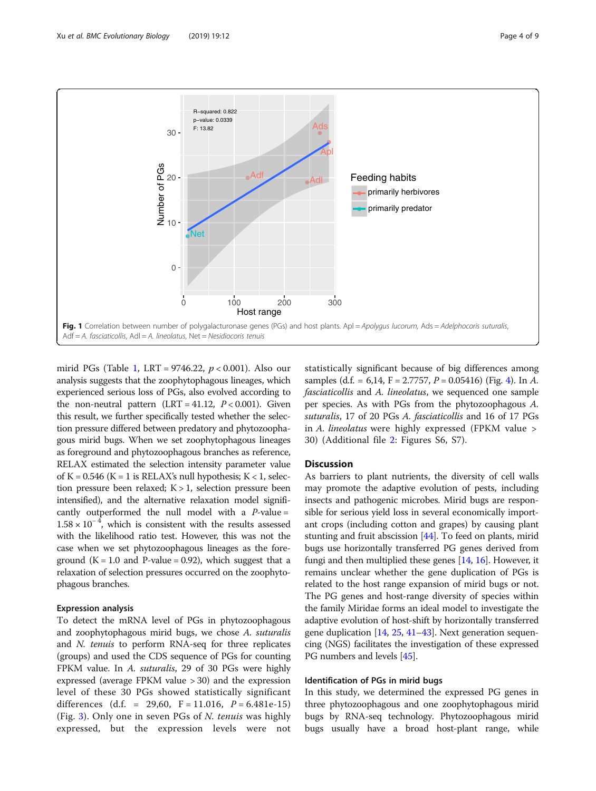<span id="page-3-0"></span>

mirid PGs (Table [1](#page-4-0), LRT = 9746.22,  $p < 0.001$ ). Also our analysis suggests that the zoophytophagous lineages, which experienced serious loss of PGs, also evolved according to the non-neutral pattern (LRT =  $41.12$ ,  $P < 0.001$ ). Given this result, we further specifically tested whether the selection pressure differed between predatory and phytozoophagous mirid bugs. When we set zoophytophagous lineages as foreground and phytozoophagous branches as reference, RELAX estimated the selection intensity parameter value of K = 0.546 (K = 1 is RELAX's null hypothesis; K < 1, selection pressure been relaxed;  $K > 1$ , selection pressure been intensified), and the alternative relaxation model significantly outperformed the null model with a  $P$ -value =  $1.58 \times 10^{-4}$ , which is consistent with the results assessed with the likelihood ratio test. However, this was not the case when we set phytozoophagous lineages as the foreground  $(K = 1.0$  and P-value = 0.92), which suggest that a relaxation of selection pressures occurred on the zoophytophagous branches.

### Expression analysis

To detect the mRNA level of PGs in phytozoophagous and zoophytophagous mirid bugs, we chose A. suturalis and N. tenuis to perform RNA-seq for three replicates (groups) and used the CDS sequence of PGs for counting FPKM value. In A. suturalis, 29 of 30 PGs were highly expressed (average FPKM value > 30) and the expression level of these 30 PGs showed statistically significant differences (d.f. = 29,60,  $F = 11.016$ ,  $P = 6.481e-15$ ) (Fig. [3\)](#page-5-0). Only one in seven PGs of N. tenuis was highly expressed, but the expression levels were not

statistically significant because of big differences among samples (d.f. = 6,1[4](#page-6-0), F = 2.7757, P = 0.05416) (Fig. 4). In A. fasciaticollis and A. lineolatus, we sequenced one sample per species. As with PGs from the phytozoophagous A. suturalis, 17 of 20 PGs A. fasciaticollis and 16 of 17 PGs in A. lineolatus were highly expressed (FPKM value > 30) (Additional file [2:](#page-7-0) Figures S6, S7).

## **Discussion**

As barriers to plant nutrients, the diversity of cell walls may promote the adaptive evolution of pests, including insects and pathogenic microbes. Mirid bugs are responsible for serious yield loss in several economically important crops (including cotton and grapes) by causing plant stunting and fruit abscission [\[44](#page-8-0)]. To feed on plants, mirid bugs use horizontally transferred PG genes derived from fungi and then multiplied these genes [\[14,](#page-7-0) [16](#page-7-0)]. However, it remains unclear whether the gene duplication of PGs is related to the host range expansion of mirid bugs or not. The PG genes and host-range diversity of species within the family Miridae forms an ideal model to investigate the adaptive evolution of host-shift by horizontally transferred gene duplication [\[14,](#page-7-0) [25](#page-8-0), [41](#page-8-0)–[43](#page-8-0)]. Next generation sequencing (NGS) facilitates the investigation of these expressed PG numbers and levels [[45](#page-8-0)].

## Identification of PGs in mirid bugs

In this study, we determined the expressed PG genes in three phytozoophagous and one zoophytophagous mirid bugs by RNA-seq technology. Phytozoophagous mirid bugs usually have a broad host-plant range, while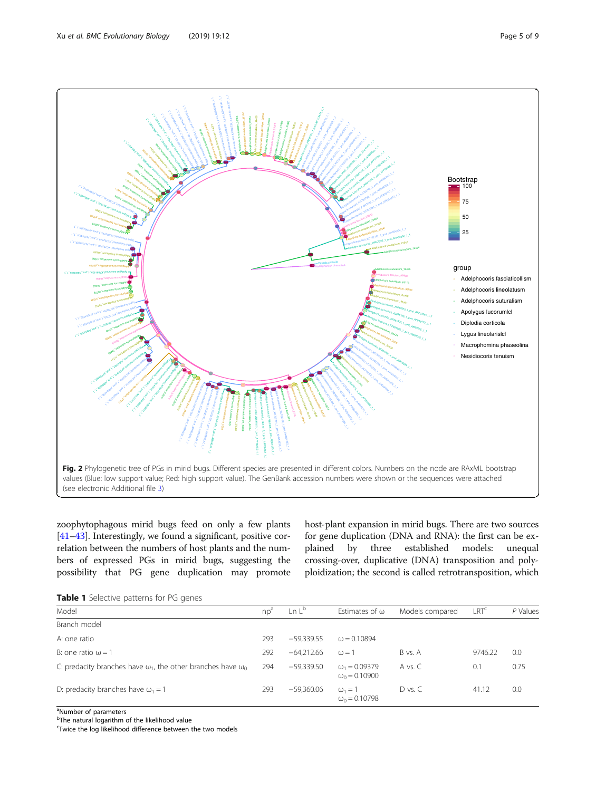<span id="page-4-0"></span>

zoophytophagous mirid bugs feed on only a few plants [[41](#page-8-0)–[43\]](#page-8-0). Interestingly, we found a significant, positive correlation between the numbers of host plants and the numbers of expressed PGs in mirid bugs, suggesting the possibility that PG gene duplication may promote host-plant expansion in mirid bugs. There are two sources for gene duplication (DNA and RNA): the first can be explained by three established models: unequal crossing-over, duplicative (DNA) transposition and polyploidization; the second is called retrotransposition, which

|  | Table 1 Selective patterns for PG genes |  |  |  |  |
|--|-----------------------------------------|--|--|--|--|
|--|-----------------------------------------|--|--|--|--|

| <b>FUNICI E</b> DUITELING DUITGEFINE FOR HIS GETTED                        |     |              |                                              |                 |                  |          |  |  |  |  |
|----------------------------------------------------------------------------|-----|--------------|----------------------------------------------|-----------------|------------------|----------|--|--|--|--|
| Model                                                                      | np  | $\ln L^b$    | Estimates of $\omega$                        | Models compared | LRT <sup>c</sup> | P Values |  |  |  |  |
| Branch model                                                               |     |              |                                              |                 |                  |          |  |  |  |  |
| A: one ratio                                                               | 293 | $-59.339.55$ | $\omega = 0.10894$                           |                 |                  |          |  |  |  |  |
| B: one ratio $\omega = 1$                                                  | 292 | $-64.212.66$ | $\omega = 1$                                 | B vs. A         | 9746.22          | 0.0      |  |  |  |  |
| C: predacity branches have $\omega_1$ , the other branches have $\omega_0$ | 294 | $-59.339.50$ | $\omega_1 = 0.09379$<br>$\omega_0 = 0.10900$ | A vs. C         | 0.1              | 0.75     |  |  |  |  |
| D: predacity branches have $\omega_1 = 1$                                  | 293 | $-59,360,06$ | $\omega_1 = 1$<br>$\omega_0 = 0.10798$       | $D$ vs. $C$     | 41.12            | 0.0      |  |  |  |  |

<sup>a</sup>Number of parameters

<sup>b</sup>The natural logarithm of the likelihood value

c Twice the log likelihood difference between the two models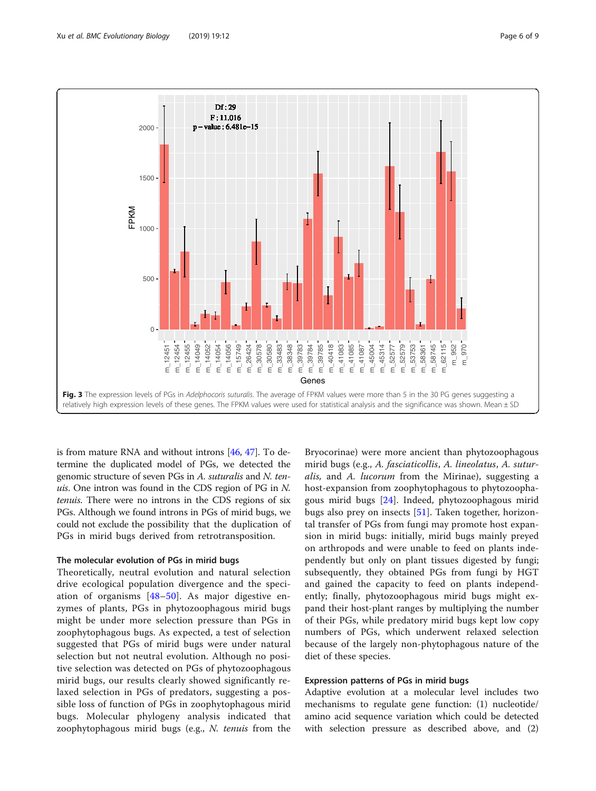<span id="page-5-0"></span>

is from mature RNA and without introns [\[46,](#page-8-0) [47\]](#page-8-0). To determine the duplicated model of PGs, we detected the genomic structure of seven PGs in A. suturalis and N. tenuis. One intron was found in the CDS region of PG in N. tenuis. There were no introns in the CDS regions of six PGs. Although we found introns in PGs of mirid bugs, we could not exclude the possibility that the duplication of PGs in mirid bugs derived from retrotransposition.

## The molecular evolution of PGs in mirid bugs

Theoretically, neutral evolution and natural selection drive ecological population divergence and the speciation of organisms [[48](#page-8-0)–[50](#page-8-0)]. As major digestive enzymes of plants, PGs in phytozoophagous mirid bugs might be under more selection pressure than PGs in zoophytophagous bugs. As expected, a test of selection suggested that PGs of mirid bugs were under natural selection but not neutral evolution. Although no positive selection was detected on PGs of phytozoophagous mirid bugs, our results clearly showed significantly relaxed selection in PGs of predators, suggesting a possible loss of function of PGs in zoophytophagous mirid bugs. Molecular phylogeny analysis indicated that zoophytophagous mirid bugs (e.g., N. tenuis from the

Bryocorinae) were more ancient than phytozoophagous mirid bugs (e.g., A. fasciaticollis, A. lineolatus, A. suturalis, and A. lucorum from the Mirinae), suggesting a host-expansion from zoophytophagous to phytozoophagous mirid bugs [[24](#page-8-0)]. Indeed, phytozoophagous mirid bugs also prey on insects [\[51](#page-8-0)]. Taken together, horizontal transfer of PGs from fungi may promote host expansion in mirid bugs: initially, mirid bugs mainly preyed on arthropods and were unable to feed on plants independently but only on plant tissues digested by fungi; subsequently, they obtained PGs from fungi by HGT and gained the capacity to feed on plants independently; finally, phytozoophagous mirid bugs might expand their host-plant ranges by multiplying the number of their PGs, while predatory mirid bugs kept low copy numbers of PGs, which underwent relaxed selection because of the largely non-phytophagous nature of the diet of these species.

## Expression patterns of PGs in mirid bugs

Adaptive evolution at a molecular level includes two mechanisms to regulate gene function: (1) nucleotide/ amino acid sequence variation which could be detected with selection pressure as described above, and (2)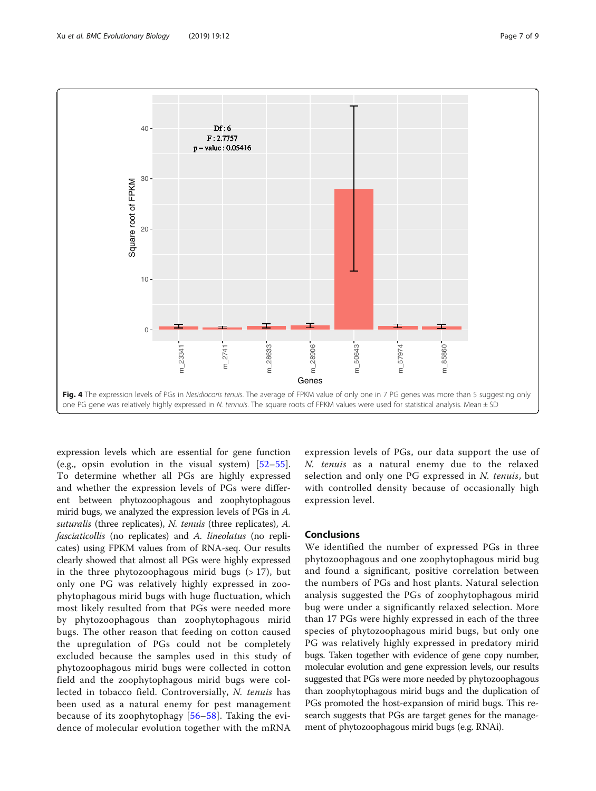<span id="page-6-0"></span>

expression levels which are essential for gene function (e.g., opsin evolution in the visual system)  $[52-55]$  $[52-55]$  $[52-55]$  $[52-55]$ . To determine whether all PGs are highly expressed and whether the expression levels of PGs were different between phytozoophagous and zoophytophagous mirid bugs, we analyzed the expression levels of PGs in A. suturalis (three replicates), N. tenuis (three replicates), A. fasciaticollis (no replicates) and A. lineolatus (no replicates) using FPKM values from of RNA-seq. Our results clearly showed that almost all PGs were highly expressed in the three phytozoophagous mirid bugs  $(>17)$ , but only one PG was relatively highly expressed in zoophytophagous mirid bugs with huge fluctuation, which most likely resulted from that PGs were needed more by phytozoophagous than zoophytophagous mirid bugs. The other reason that feeding on cotton caused the upregulation of PGs could not be completely excluded because the samples used in this study of phytozoophagous mirid bugs were collected in cotton field and the zoophytophagous mirid bugs were collected in tobacco field. Controversially, N. tenuis has been used as a natural enemy for pest management because of its zoophytophagy [[56](#page-8-0)–[58\]](#page-8-0). Taking the evidence of molecular evolution together with the mRNA

expression levels of PGs, our data support the use of N. tenuis as a natural enemy due to the relaxed selection and only one PG expressed in N. tenuis, but with controlled density because of occasionally high expression level.

## **Conclusions**

We identified the number of expressed PGs in three phytozoophagous and one zoophytophagous mirid bug and found a significant, positive correlation between the numbers of PGs and host plants. Natural selection analysis suggested the PGs of zoophytophagous mirid bug were under a significantly relaxed selection. More than 17 PGs were highly expressed in each of the three species of phytozoophagous mirid bugs, but only one PG was relatively highly expressed in predatory mirid bugs. Taken together with evidence of gene copy number, molecular evolution and gene expression levels, our results suggested that PGs were more needed by phytozoophagous than zoophytophagous mirid bugs and the duplication of PGs promoted the host-expansion of mirid bugs. This research suggests that PGs are target genes for the management of phytozoophagous mirid bugs (e.g. RNAi).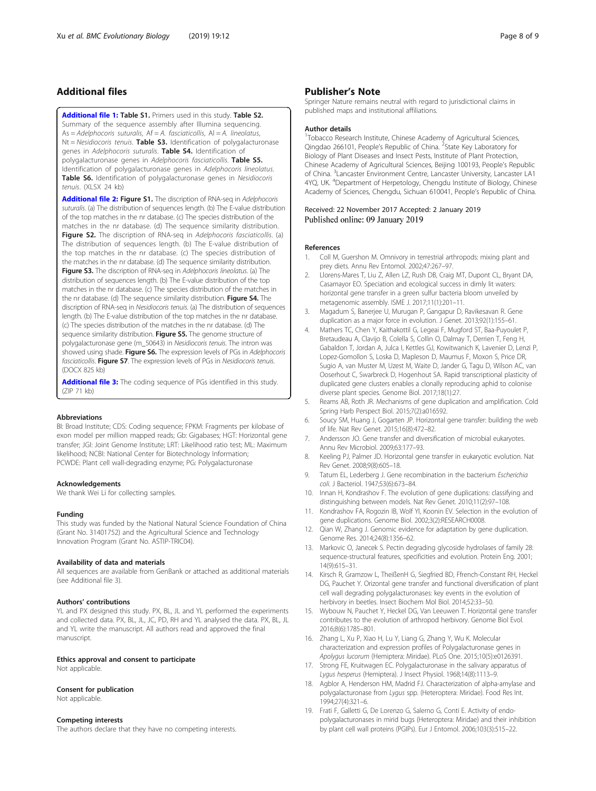## <span id="page-7-0"></span>Additional files

[Additional file 1:](https://doi.org/10.1186/s12862-019-1351-1) Table S1. Primers used in this study. Table S2. Summary of the sequence assembly after Illumina sequencing.  $As = Adelphocoris$  suturalis,  $Af = A$ . fasciaticollis,  $Al = A$ . lineolatus,  $Nt = Neidiocoris$  tenuis. Table S3. Identification of polygalacturonase genes in Adelphocoris suturalis. Table S4. Identification of polygalacturonase genes in Adelphocoris fasciaticollis. Table S5. Identification of polygalacturonase genes in Adelphocoris lineolatus. Table S6. Identification of polygalacturonase genes in Nesidiocoris tenuis. (XLSX 24 kb)

[Additional file 2:](https://doi.org/10.1186/s12862-019-1351-1) Figure S1. The discription of RNA-seq in Adelphocoris suturalis. (a) The distribution of sequences length. (b) The E-value distribution of the top matches in the nr database. (c) The species distribution of the matches in the nr database. (d) The sequence similarity distribution. Figure S2. The discription of RNA-seq in Adelphocoris fasciaticollis. (a) The distribution of sequences length. (b) The E-value distribution of the top matches in the nr database. (c) The species distribution of the matches in the nr database. (d) The sequence similarity distribution. Figure S3. The discription of RNA-seq in Adelphocoris lineolatus. (a) The distribution of sequences length. (b) The E-value distribution of the top matches in the nr database. (c) The species distribution of the matches in the nr database. (d) The sequence similarity distribution. Figure S4. The discription of RNA-seq in Nesidiocoris tenuis. (a) The distribution of sequences length. (b) The E-value distribution of the top matches in the nr database. (c) The species distribution of the matches in the nr database. (d) The sequence similarity distribution. Figure S5. The genome structure of polygalacturonase gene (m\_50643) in Nesidiocoris tenuis. The intron was showed using shade. Figure S6. The expression levels of PGs in Adelphocoris fasciaticollis. Figure S7. The expression levels of PGs in Nesidiocoris tenuis. (DOCX 825 kb)

[Additional file 3:](https://doi.org/10.1186/s12862-019-1351-1) The coding sequence of PGs identified in this study. (ZIP 71 kb)

#### Abbreviations

BI: Broad Institute; CDS: Coding sequence; FPKM: Fragments per kilobase of exon model per million mapped reads; Gb: Gigabases; HGT: Horizontal gene transfer; JGI: Joint Genome Institute; LRT: Likelihood ratio test; ML: Maximum likelihood; NCBI: National Center for Biotechnology Information; PCWDE: Plant cell wall-degrading enzyme; PG: Polygalacturonase

#### Acknowledgements

We thank Wei Li for collecting samples.

#### Funding

This study was funded by the National Natural Science Foundation of China (Grant No. 31401752) and the Agricultural Science and Technology Innovation Program (Grant No. ASTIP-TRIC04).

#### Availability of data and materials

All sequences are available from GenBank or attached as additional materials (see Additional file 3).

#### Authors' contributions

YL and PX designed this study. PX, BL, JL and YL performed the experiments and collected data. PX, BL, JL, JC, PD, RH and YL analysed the data. PX, BL, JL and YL write the manuscript. All authors read and approved the final manuscript.

# Ethics approval and consent to participate

Not applicable.

#### Consent for publication

Not applicable.

#### Competing interests

The authors declare that they have no competing interests.

## Publisher's Note

Springer Nature remains neutral with regard to jurisdictional claims in published maps and institutional affiliations.

#### Author details

<sup>1</sup>Tobacco Research Institute, Chinese Academy of Agricultural Sciences, Qingdao 266101, People's Republic of China. <sup>2</sup>State Key Laboratory for Biology of Plant Diseases and Insect Pests, Institute of Plant Protection, Chinese Academy of Agricultural Sciences, Beijing 100193, People's Republic of China. <sup>3</sup> Lancaster Environment Centre, Lancaster University, Lancaster LA1 4YQ, UK. <sup>4</sup> Department of Herpetology, Chengdu Institute of Biology, Chinese Academy of Sciences, Chengdu, Sichuan 610041, People's Republic of China.

#### Received: 22 November 2017 Accepted: 2 January 2019 Published online: 09 January 2019

#### References

- 1. Coll M, Guershon M. Omnivory in terrestrial arthropods: mixing plant and prey diets. Annu Rev Entomol. 2002;47:267–97.
- 2. Llorens-Mares T, Liu Z, Allen LZ, Rush DB, Craig MT, Dupont CL, Bryant DA, Casamayor EO. Speciation and ecological success in dimly lit waters: horizontal gene transfer in a green sulfur bacteria bloom unveiled by metagenomic assembly. ISME J. 2017;11(1):201–11.
- 3. Magadum S, Banerjee U, Murugan P, Gangapur D, Ravikesavan R. Gene duplication as a major force in evolution. J Genet. 2013;92(1):155–61.
- 4. Mathers TC, Chen Y, Kaithakottil G, Legeai F, Mugford ST, Baa-Puyoulet P, Bretaudeau A, Clavijo B, Colella S, Collin O, Dalmay T, Derrien T, Feng H, Gabaldon T, Jordan A, Julca I, Kettles GJ, Kowitwanich K, Lavenier D, Lenzi P, Lopez-Gomollon S, Loska D, Mapleson D, Maumus F, Moxon S, Price DR, Sugio A, van Muster M, Uzest M, Waite D, Jander G, Tagu D, Wilson AC, van Ooserhout C, Swarbreck D, Hogenhout SA. Rapid transcriptional plasticity of duplicated gene clusters enables a clonally reproducing aphid to colonise diverse plant species. Genome Biol. 2017;18(1):27.
- 5. Reams AB, Roth JR. Mechanisms of gene duplication and amplification. Cold Spring Harb Perspect Biol. 2015;7(2):a016592.
- 6. Soucy SM, Huang J, Gogarten JP. Horizontal gene transfer: building the web of life. Nat Rev Genet. 2015;16(8):472–82.
- 7. Andersson JO. Gene transfer and diversification of microbial eukaryotes. Annu Rev Microbiol. 2009;63:177–93.
- 8. Keeling PJ, Palmer JD. Horizontal gene transfer in eukaryotic evolution. Nat Rev Genet. 2008;9(8):605–18.
- 9. Tatum EL, Lederberg J. Gene recombination in the bacterium Escherichia coli. J Bacteriol. 1947;53(6):673–84.
- 10. Innan H, Kondrashov F. The evolution of gene duplications: classifying and distinguishing between models. Nat Rev Genet. 2010;11(2):97–108.
- 11. Kondrashov FA, Rogozin IB, Wolf YI, Koonin EV. Selection in the evolution of gene duplications. Genome Biol. 2002;3(2):RESEARCH0008.
- 12. Qian W, Zhang J. Genomic evidence for adaptation by gene duplication. Genome Res. 2014;24(8):1356–62.
- 13. Markovic O, Janecek S. Pectin degrading glycoside hydrolases of family 28: sequence-structural features, specificities and evolution. Protein Eng. 2001; 14(9):615–31.
- 14. Kirsch R, Gramzow L, TheißenH G, Siegfried BD, Ffrench-Constant RH, Heckel DG, Pauchet Y. Orizontal gene transfer and functional diversification of plant cell wall degrading polygalacturonases: key events in the evolution of herbivory in beetles. Insect Biochem Mol Biol. 2014;52:33–50.
- 15. Wybouw N, Pauchet Y, Heckel DG, Van Leeuwen T. Horizontal gene transfer contributes to the evolution of arthropod herbivory. Genome Biol Evol. 2016;8(6):1785–801.
- 16. Zhang L, Xu P, Xiao H, Lu Y, Liang G, Zhang Y, Wu K. Molecular characterization and expression profiles of Polygalacturonase genes in Apolygus lucorum (Hemiptera: Miridae). PLoS One. 2015;10(5):e0126391.
- 17. Strong FE, Kruitwagen EC. Polygalacturonase in the salivary apparatus of Lygus hesperus (Hemiptera). J Insect Physiol. 1968;14(8):1113–9.
- 18. Agblor A, Henderson HM, Madrid FJ. Characterization of alpha-amylase and polygalacturonase from Lygus spp. (Heteroptera: Miridae). Food Res Int. 1994;27(4):321–6.
- 19. Frati F, Galletti G, De Lorenzo G, Salerno G, Conti E. Activity of endopolygalacturonases in mirid bugs (Heteroptera: Miridae) and their inhibition by plant cell wall proteins (PGIPs). Eur J Entomol. 2006;103(3):515–22.